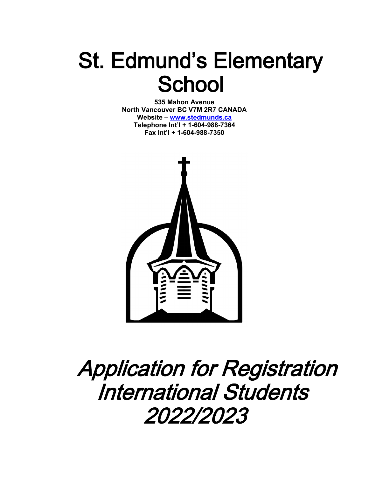# St. Edmund's Elementary **School**

**535 Mahon Avenue North Vancouver BC V7M 2R7 CANADA Website – [www.stedmunds.ca](http://../AppData/Local/Microsoft/Windows/INetCache/Documents/Policies%20&%20Procedures/Registration/International%20Students/www.stedmunds.ca) Telephone Int'l + 1-604-988-7364 Fax Int'l + 1-604-988-7350**



## Application for Registration International Students 2022/2023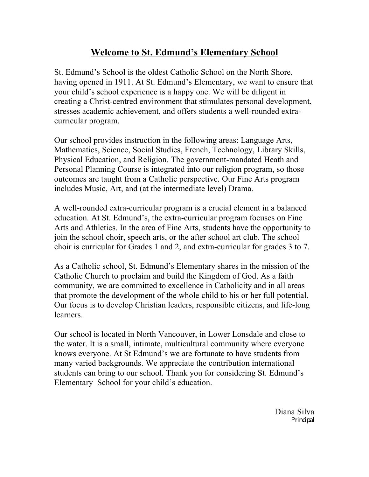### **Welcome to St. Edmund's Elementary School**

St. Edmund's School is the oldest Catholic School on the North Shore, having opened in 1911. At St. Edmund's Elementary, we want to ensure that your child's school experience is a happy one. We will be diligent in creating a Christ-centred environment that stimulates personal development, stresses academic achievement, and offers students a well-rounded extracurricular program.

Our school provides instruction in the following areas: Language Arts, Mathematics, Science, Social Studies, French, Technology, Library Skills, Physical Education, and Religion. The government-mandated Heath and Personal Planning Course is integrated into our religion program, so those outcomes are taught from a Catholic perspective. Our Fine Arts program includes Music, Art, and (at the intermediate level) Drama.

A well-rounded extra-curricular program is a crucial element in a balanced education. At St. Edmund's, the extra-curricular program focuses on Fine Arts and Athletics. In the area of Fine Arts, students have the opportunity to join the school choir, speech arts, or the after school art club. The school choir is curricular for Grades 1 and 2, and extra-curricular for grades 3 to 7.

As a Catholic school, St. Edmund's Elementary shares in the mission of the Catholic Church to proclaim and build the Kingdom of God. As a faith community, we are committed to excellence in Catholicity and in all areas that promote the development of the whole child to his or her full potential. Our focus is to develop Christian leaders, responsible citizens, and life-long learners.

Our school is located in North Vancouver, in Lower Lonsdale and close to the water. It is a small, intimate, multicultural community where everyone knows everyone. At St Edmund's we are fortunate to have students from many varied backgrounds. We appreciate the contribution international students can bring to our school. Thank you for considering St. Edmund's Elementary School for your child's education.

> Diana Silva Principal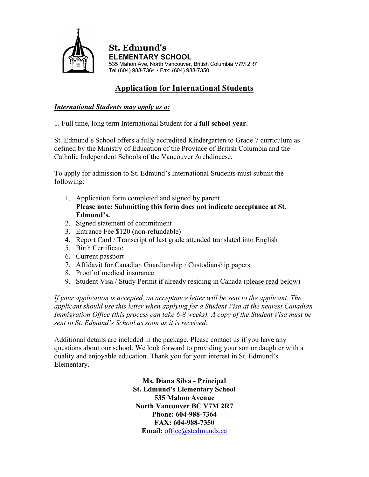

**St. Edmund's ELEMENTARY SCHOOL** 535 Mahon Ave, North Vancouver, British Columbia V7M 2R7 Tel (604) 988-7364 • Fax: (604) 988-7350

#### **Application for International Students**

#### *International Students may apply as a:*

1. Full time, long term International Student for a **full school year.** 

St. Edmund's School offers a fully accredited Kindergarten to Grade 7 curriculum as defined by the Ministry of Education of the Province of British Columbia and the Catholic Independent Schools of the Vancouver Archdiocese.

To apply for admission to St. Edmund's International Students must submit the following:

- 1. Application form completed and signed by parent **Please note: Submitting this form does not indicate acceptance at St. Edmund's.**
- 2. Signed statement of commitment
- 3. Entrance Fee \$120 (non-refundable)
- 4. Report Card / Transcript of last grade attended translated into English
- 5. Birth Certificate
- 6. Current passport
- 7. Affidavit for Canadian Guardianship / Custodianship papers
- 8. Proof of medical insurance
- 9. Student Visa / Study Permit if already residing in Canada (please read below)

*If your application is accepted, an acceptance letter will be sent to the applicant. The applicant should use this letter when applying for a Student Visa at the nearest Canadian Immigration Office (this process can take 6-8 weeks). A copy of the Student Visa must be sent to St. Edmund's School as soon as it is received.* 

Additional details are included in the package. Please contact us if you have any questions about our school. We look forward to providing your son or daughter with a quality and enjoyable education. Thank you for your interest in St. Edmund's Elementary.

> **Ms. Diana Silva - Principal St. Edmund's Elementary School 535 Mahon Avenue North Vancouver BC V7M 2R7 Phone: 604-988-7364 FAX: 604-988-7350**  Email: [office@stedmunds.ca](mailto:office@stedmunds.ca)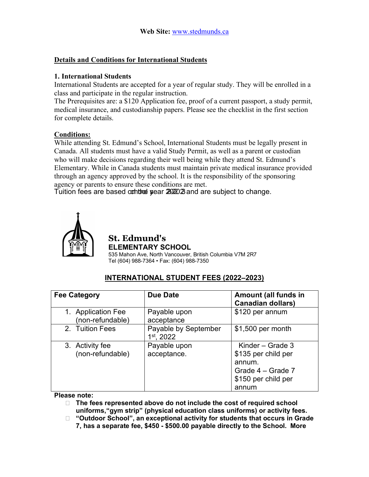#### **Details and Conditions for International Students**

#### **1. International Students**

International Students are accepted for a year of regular study. They will be enrolled in a class and participate in the regular instruction.

The Prerequisites are: a \$120 Application fee, proof of a current passport, a study permit, medical insurance, and custodianship papers. Please see the checklist in the first section for complete details.

#### **Conditions:**

While attending St. Edmund's School, International Students must be legally present in Canada. All students must have a valid Study Permit, as well as a parent or custodian who will make decisions regarding their well being while they attend St. Edmund's Elementary. While in Canada students must maintain private medical insurance provided through an agency approved by the school. It is the responsibility of the sponsoring agency or parents to ensure these conditions are met.

Tuition fees are based orth the sear 2022 2 and are subject to change.



#### **St. Edmund's ELEMENTARY SCHOOL**

535 Mahon Ave, North Vancouver, British Columbia V7M 2R7 Tel (604) 988-7364 • Fax: (604) 988-7350

#### **INTERNATIONAL STUDENT FEES (2022–2023)**

| <b>Fee Category</b>                    | <b>Due Date</b>                      | Amount (all funds in<br><b>Canadian dollars)</b>                                                         |
|----------------------------------------|--------------------------------------|----------------------------------------------------------------------------------------------------------|
| 1. Application Fee<br>(non-refundable) | Payable upon<br>acceptance           | \$120 per annum                                                                                          |
| 2. Tuition Fees                        | Payable by September<br>$1st$ , 2022 | \$1,500 per month                                                                                        |
| 3. Activity fee<br>(non-refundable)    | Payable upon<br>acceptance.          | Kinder – Grade $3$<br>\$135 per child per<br>annum.<br>Grade 4 – Grade 7<br>\$150 per child per<br>annum |

#### **Please note:**

- **The fees represented above do not include the cost of required school uniforms,"gym strip" (physical education class uniforms) or activity fees.**
- **"Outdoor School", an exceptional activity for students that occurs in Grade 7, has a separate fee, \$450 - \$500.00 payable directly to the School. More**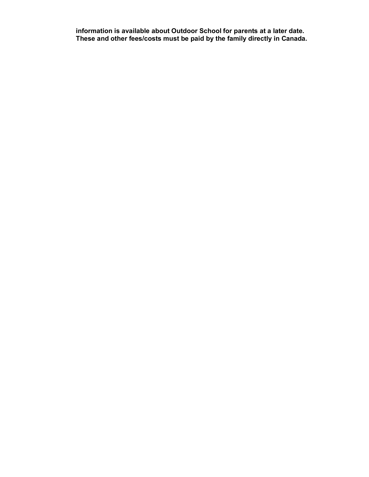**information is available about Outdoor School for parents at a later date. These and other fees/costs must be paid by the family directly in Canada.**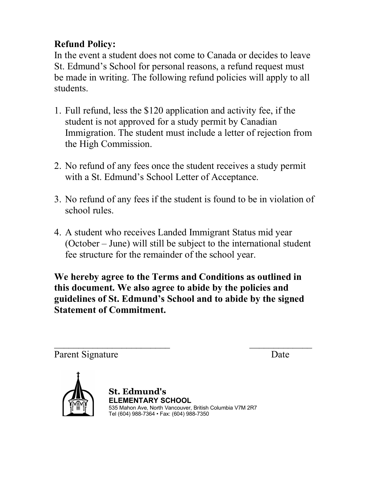## **Refund Policy:**

In the event a student does not come to Canada or decides to leave St. Edmund's School for personal reasons, a refund request must be made in writing. The following refund policies will apply to all students.

- 1. Full refund, less the \$120 application and activity fee, if the student is not approved for a study permit by Canadian Immigration. The student must include a letter of rejection from the High Commission.
- 2. No refund of any fees once the student receives a study permit with a St. Edmund's School Letter of Acceptance.
- 3. No refund of any fees if the student is found to be in violation of school rules.
- 4. A student who receives Landed Immigrant Status mid year (October – June) will still be subject to the international student fee structure for the remainder of the school year.

**We hereby agree to the Terms and Conditions as outlined in this document. We also agree to abide by the policies and guidelines of St. Edmund's School and to abide by the signed Statement of Commitment.** 

 $\mathcal{L}_\text{max}$  , and the contract of the contract of the contract of the contract of the contract of the contract of the contract of the contract of the contract of the contract of the contract of the contract of the contr Parent Signature Date



**St. Edmund's ELEMENTARY SCHOOL** 535 Mahon Ave, North Vancouver, British Columbia V7M 2R7 Tel (604) 988-7364 • Fax: (604) 988-7350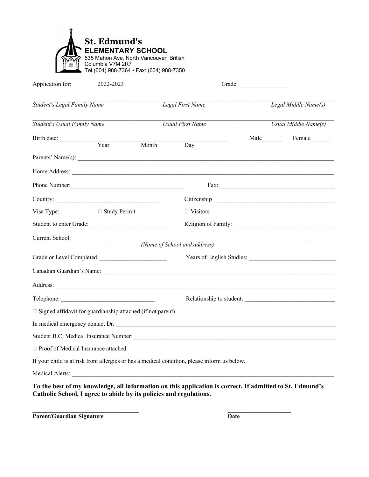| Application for:                   | 2022-2023                                                         |                         |                                                                                                                                                                                                                                     |                                   |                                                                                                                                                                                                                                      |  |  |
|------------------------------------|-------------------------------------------------------------------|-------------------------|-------------------------------------------------------------------------------------------------------------------------------------------------------------------------------------------------------------------------------------|-----------------------------------|--------------------------------------------------------------------------------------------------------------------------------------------------------------------------------------------------------------------------------------|--|--|
| <b>Student's Legal Family Name</b> |                                                                   |                         | Legal First Name                                                                                                                                                                                                                    | $\overline{Legal}$ Middle Name(s) |                                                                                                                                                                                                                                      |  |  |
| <b>Student's Usual Family Name</b> |                                                                   |                         | <b>Usual First Name</b>                                                                                                                                                                                                             |                                   | Usual Middle Name(s)                                                                                                                                                                                                                 |  |  |
|                                    |                                                                   |                         |                                                                                                                                                                                                                                     |                                   | Male Female                                                                                                                                                                                                                          |  |  |
|                                    | Birth date: <u>Vear</u>                                           | Month                   | Day                                                                                                                                                                                                                                 |                                   |                                                                                                                                                                                                                                      |  |  |
|                                    |                                                                   |                         |                                                                                                                                                                                                                                     |                                   | Parents' Name(s): $\overline{\phantom{a}}$                                                                                                                                                                                           |  |  |
|                                    |                                                                   |                         |                                                                                                                                                                                                                                     |                                   | Home Address: <u>example and the set of the set of the set of the set of the set of the set of the set of the set of the set of the set of the set of the set of the set of the set of the set of the set of the set of the set </u> |  |  |
|                                    | Phone Number:                                                     |                         |                                                                                                                                                                                                                                     |                                   |                                                                                                                                                                                                                                      |  |  |
| Country: $\qquad \qquad$           |                                                                   |                         |                                                                                                                                                                                                                                     |                                   |                                                                                                                                                                                                                                      |  |  |
| Visa Type:                         | $\Box$ Study Permit                                               |                         | $\Box$ Visitors                                                                                                                                                                                                                     |                                   |                                                                                                                                                                                                                                      |  |  |
|                                    |                                                                   | Student to enter Grade: |                                                                                                                                                                                                                                     |                                   |                                                                                                                                                                                                                                      |  |  |
|                                    | Current School:                                                   |                         |                                                                                                                                                                                                                                     |                                   |                                                                                                                                                                                                                                      |  |  |
|                                    |                                                                   |                         | (Name of School and address)                                                                                                                                                                                                        |                                   |                                                                                                                                                                                                                                      |  |  |
|                                    |                                                                   |                         |                                                                                                                                                                                                                                     |                                   |                                                                                                                                                                                                                                      |  |  |
|                                    |                                                                   |                         | Canadian Guardian's Name: Name: Name and Separate and Separate and Separate and Separate and Separate and Separate and Separate and Separate and Separate and Separate and Separate and Separate and Separate and Separate and      |                                   |                                                                                                                                                                                                                                      |  |  |
|                                    |                                                                   |                         | Address: <u>Address:</u> Address: Address: Address: Address: Address: Address: Address: Address: Address: Address: Address: Address: Address: Address: Address: Address: Address: Address: Address: Address: Address: Address: Addr |                                   |                                                                                                                                                                                                                                      |  |  |
|                                    |                                                                   |                         |                                                                                                                                                                                                                                     |                                   | Relationship to student:                                                                                                                                                                                                             |  |  |
|                                    | $\Box$ Signed affidavit for guardianship attached (if not parent) |                         |                                                                                                                                                                                                                                     |                                   |                                                                                                                                                                                                                                      |  |  |
|                                    |                                                                   |                         |                                                                                                                                                                                                                                     |                                   | In medical emergency contact Dr.                                                                                                                                                                                                     |  |  |
|                                    |                                                                   |                         |                                                                                                                                                                                                                                     |                                   |                                                                                                                                                                                                                                      |  |  |
|                                    | □ Proof of Medical Insurance attached                             |                         |                                                                                                                                                                                                                                     |                                   |                                                                                                                                                                                                                                      |  |  |
|                                    |                                                                   |                         | If your child is at risk from allergies or has a medical condition, please inform us below.                                                                                                                                         |                                   |                                                                                                                                                                                                                                      |  |  |
|                                    |                                                                   |                         |                                                                                                                                                                                                                                     |                                   |                                                                                                                                                                                                                                      |  |  |

**Catholic School, I agree to abide by its policies and regulations.** 

**\_\_\_\_\_\_\_\_\_\_\_\_\_\_\_\_\_\_\_\_\_\_\_\_\_\_\_\_\_\_\_\_ \_\_\_\_\_\_\_\_\_\_\_\_\_\_\_\_\_\_\_ Parent/Guardian Signature Date**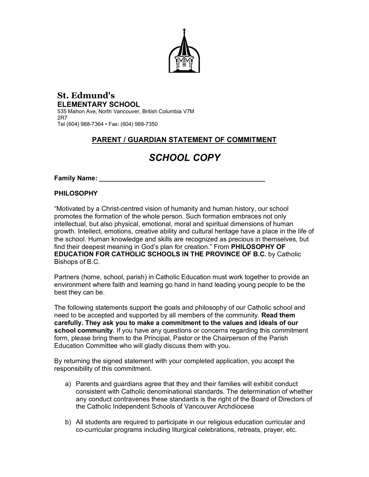

#### **St. Edmund's ELEMENTARY SCHOOL** 535 Mahon Ave, North Vancouver, British Columbia V7M

2R7 Tel (604) 988-7364 • Fax: (604) 988-7350

#### **PARENT / GUARDIAN STATEMENT OF COMMITMENT**

## *SCHOOL COPY*

**Family Name:** *\_\_\_\_\_\_\_\_\_\_\_\_\_\_\_\_\_\_\_\_\_\_\_\_\_\_\_\_\_\_\_\_\_\_\_\_\_\_\_\_\_\_\_\_\_*

#### **PHILOSOPHY**

"Motivated by a Christ-centred vision of humanity and human history, our school promotes the formation of the whole person. Such formation embraces not only intellectual, but also physical, emotional, moral and spiritual dimensions of human growth. Intellect, emotions, creative ability and cultural heritage have a place in the life of the school. Human knowledge and skills are recognized as precious in themselves, but find their deepest meaning in God's plan for creation." From **PHILOSOPHY OF EDUCATION FOR CATHOLIC SCHOOLS IN THE PROVINCE OF B.C.** by Catholic Bishops of B.C.

Partners (home, school, parish) in Catholic Education must work together to provide an environment where faith and learning go hand in hand leading young people to be the best they can be.

The following statements support the goals and philosophy of our Catholic school and need to be accepted and supported by all members of the community. **Read them carefully. They ask you to make a commitment to the values and ideals of our school community**. If you have any questions or concerns regarding this commitment form, please bring them to the Principal, Pastor or the Chairperson of the Parish Education Committee who will gladly discuss them with you.

By returning the signed statement with your completed application, you accept the responsibility of this commitment.

- a) Parents and guardians agree that they and their families will exhibit conduct consistent with Catholic denominational standards. The determination of whether any conduct contravenes these standards is the right of the Board of Directors of the Catholic Independent Schools of Vancouver Archdiocese
- b) All students are required to participate in our religious education curricular and co-curricular programs including liturgical celebrations, retreats, prayer, etc.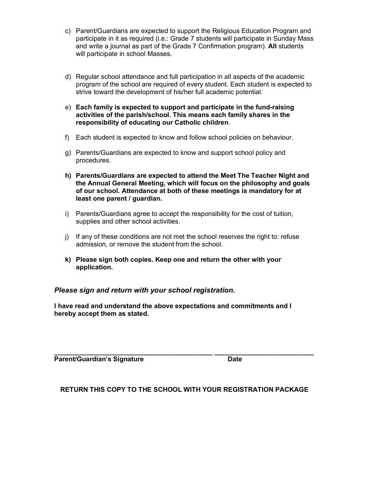- c) Parent/Guardians are expected to support the Religious Education Program and participate in it as required (i.e.: Grade 7 students will participate in Sunday Mass and write a journal as part of the Grade 7 Confirmation program). **All** students will participate in school Masses.
- d) Regular school attendance and full participation in all aspects of the academic program of the school are required of every student. Each student is expected to strive toward the development of his/her full academic potential.
- e) **Each family is expected to support and participate in the fund-raising activities of the parish/school. This means each family shares in the responsibility of educating our Catholic children**.
- f) Each student is expected to know and follow school policies on behaviour.
- g) Parents/Guardians are expected to know and support school policy and procedures.
- **h) Parents/Guardians are expected to attend the Meet The Teacher Night and the Annual General Meeting, which will focus on the philosophy and goals of our school. Attendance at both of these meetings is mandatory for at least one parent / guardian.**
- i) Parents/Guardians agree to accept the responsibility for the cost of tuition, supplies and other school activities.
- j) If any of these conditions are not met the school reserves the right to: refuse admission, or remove the student from the school.
- **k) Please sign both copies. Keep one and return the other with your application.**

*Please sign and return with your school registration.* 

**I have read and understand the above expectations and commitments and I hereby accept them as stated.**

**\_\_\_\_\_\_\_\_\_\_\_\_\_\_\_\_\_\_\_\_\_\_\_\_\_\_\_\_\_\_\_\_\_\_\_\_\_\_\_\_\_\_\_ \_\_\_\_\_\_\_\_\_\_\_\_\_\_\_\_\_\_\_\_\_\_\_\_\_\_\_ Parent/Guardian's Signature discussed by Date** 

**RETURN THIS COPY TO THE SCHOOL WITH YOUR REGISTRATION PACKAGE**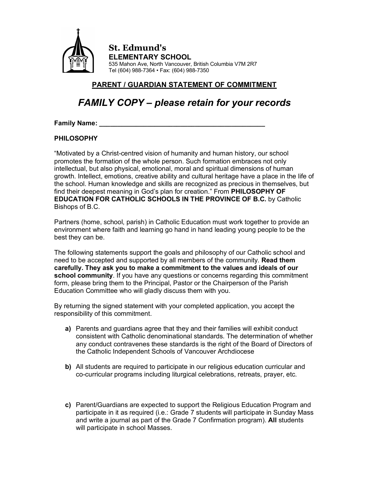

**St. Edmund's ELEMENTARY SCHOOL** 535 Mahon Ave, North Vancouver, British Columbia V7M 2R7 Tel (604) 988-7364 • Fax: (604) 988-7350

#### **PARENT / GUARDIAN STATEMENT OF COMMITMENT**

## *FAMILY COPY – please retain for your records*

**Family Name:** *\_\_\_\_\_\_\_\_\_\_\_\_\_\_\_\_\_\_\_\_\_\_\_\_\_\_\_\_\_\_\_\_\_\_\_\_\_\_\_\_\_\_\_\_\_*

#### **PHILOSOPHY**

"Motivated by a Christ-centred vision of humanity and human history, our school promotes the formation of the whole person. Such formation embraces not only intellectual, but also physical, emotional, moral and spiritual dimensions of human growth. Intellect, emotions, creative ability and cultural heritage have a place in the life of the school. Human knowledge and skills are recognized as precious in themselves, but find their deepest meaning in God's plan for creation." From **PHILOSOPHY OF EDUCATION FOR CATHOLIC SCHOOLS IN THE PROVINCE OF B.C.** by Catholic Bishops of B.C.

Partners (home, school, parish) in Catholic Education must work together to provide an environment where faith and learning go hand in hand leading young people to be the best they can be.

The following statements support the goals and philosophy of our Catholic school and need to be accepted and supported by all members of the community. **Read them carefully. They ask you to make a commitment to the values and ideals of our school community**. If you have any questions or concerns regarding this commitment form, please bring them to the Principal, Pastor or the Chairperson of the Parish Education Committee who will gladly discuss them with you.

By returning the signed statement with your completed application, you accept the responsibility of this commitment.

- **a)** Parents and guardians agree that they and their families will exhibit conduct consistent with Catholic denominational standards. The determination of whether any conduct contravenes these standards is the right of the Board of Directors of the Catholic Independent Schools of Vancouver Archdiocese
- **b)** All students are required to participate in our religious education curricular and co-curricular programs including liturgical celebrations, retreats, prayer, etc.
- **c)** Parent/Guardians are expected to support the Religious Education Program and participate in it as required (i.e.: Grade 7 students will participate in Sunday Mass and write a journal as part of the Grade 7 Confirmation program). **All** students will participate in school Masses.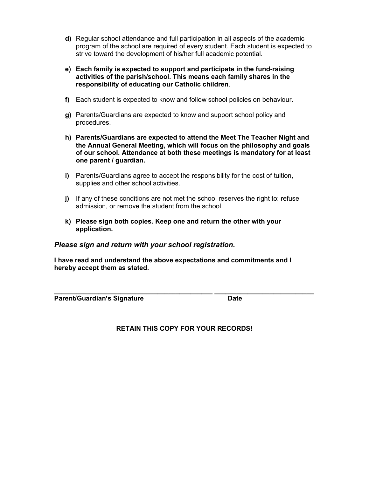- **d)** Regular school attendance and full participation in all aspects of the academic program of the school are required of every student. Each student is expected to strive toward the development of his/her full academic potential.
- **e) Each family is expected to support and participate in the fund-raising activities of the parish/school. This means each family shares in the responsibility of educating our Catholic children**.
- **f)** Each student is expected to know and follow school policies on behaviour.
- **g)** Parents/Guardians are expected to know and support school policy and procedures.
- **h) Parents/Guardians are expected to attend the Meet The Teacher Night and the Annual General Meeting, which will focus on the philosophy and goals of our school. Attendance at both these meetings is mandatory for at least one parent / guardian.**
- **i)** Parents/Guardians agree to accept the responsibility for the cost of tuition, supplies and other school activities.
- **j)** If any of these conditions are not met the school reserves the right to: refuse admission, or remove the student from the school.
- **k) Please sign both copies. Keep one and return the other with your application.**

#### *Please sign and return with your school registration.*

**I have read and understand the above expectations and commitments and I hereby accept them as stated.**

**Parent/Guardian's Signature discussed by Date** 

**RETAIN THIS COPY FOR YOUR RECORDS!**

**\_\_\_\_\_\_\_\_\_\_\_\_\_\_\_\_\_\_\_\_\_\_\_\_\_\_\_\_\_\_\_\_\_\_\_\_\_\_\_\_\_\_\_ \_\_\_\_\_\_\_\_\_\_\_\_\_\_\_\_\_\_\_\_\_\_\_\_\_\_\_**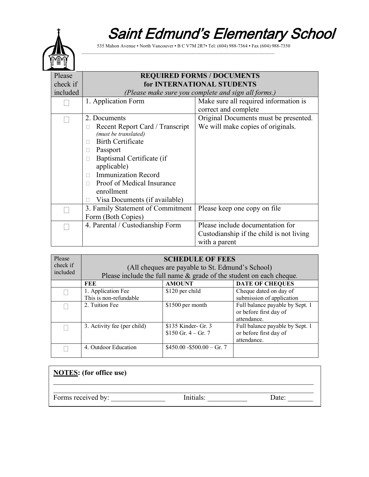## Saint Edmund's Elementary School



535 Mahon Avenue ▪ North Vancouver ▪ B C V7M 2R7▪ Tel: (604) 988-7364 ▪ Fax (604) 988-7350

\_\_\_\_\_\_\_\_\_\_\_\_\_\_\_\_\_\_\_\_\_\_\_\_\_\_\_\_\_\_\_\_\_\_\_\_\_\_\_\_\_\_\_\_\_\_\_\_\_\_\_\_\_\_\_\_\_\_\_\_\_\_\_\_\_\_\_\_\_\_\_\_\_\_\_\_\_\_\_\_

| Please   | <b>REQUIRED FORMS / DOCUMENTS</b>                   |                                          |  |  |  |  |
|----------|-----------------------------------------------------|------------------------------------------|--|--|--|--|
| check if | for INTERNATIONAL STUDENTS                          |                                          |  |  |  |  |
| included | (Please make sure you complete and sign all forms.) |                                          |  |  |  |  |
|          | 1. Application Form                                 | Make sure all required information is    |  |  |  |  |
|          |                                                     | correct and complete                     |  |  |  |  |
|          | 2. Documents                                        | Original Documents must be presented.    |  |  |  |  |
|          | Recent Report Card / Transcript                     | We will make copies of originals.        |  |  |  |  |
|          | (must be translated)                                |                                          |  |  |  |  |
|          | <b>Birth Certificate</b>                            |                                          |  |  |  |  |
|          | Passport                                            |                                          |  |  |  |  |
|          | Baptismal Certificate (if                           |                                          |  |  |  |  |
|          | applicable)                                         |                                          |  |  |  |  |
|          | <b>Immunization Record</b><br>П                     |                                          |  |  |  |  |
|          | Proof of Medical Insurance                          |                                          |  |  |  |  |
|          | enrollment                                          |                                          |  |  |  |  |
|          | Visa Documents (if available)                       |                                          |  |  |  |  |
|          | 3. Family Statement of Commitment                   | Please keep one copy on file             |  |  |  |  |
|          | Form (Both Copies)                                  |                                          |  |  |  |  |
|          | 4. Parental / Custodianship Form                    | Please include documentation for         |  |  |  |  |
|          |                                                     | Custodianship if the child is not living |  |  |  |  |
|          |                                                     | with a parent                            |  |  |  |  |

| Please   | <b>SCHEDULE OF FEES</b>                                             |                                         |                                 |  |  |  |  |  |
|----------|---------------------------------------------------------------------|-----------------------------------------|---------------------------------|--|--|--|--|--|
| check if | (All cheques are payable to St. Edmund's School)                    |                                         |                                 |  |  |  |  |  |
| included | Please include the full name & grade of the student on each cheque. |                                         |                                 |  |  |  |  |  |
|          | FEE                                                                 | <b>DATE OF CHEQUES</b><br><b>AMOUNT</b> |                                 |  |  |  |  |  |
|          | 1. Application Fee                                                  | \$120 per child                         | Cheque dated on day of          |  |  |  |  |  |
|          | This is non-refundable                                              |                                         | submission of application       |  |  |  |  |  |
|          | 2. Tuition Fee                                                      | \$1500 per month                        | Full balance payable by Sept. 1 |  |  |  |  |  |
|          |                                                                     |                                         | or before first day of          |  |  |  |  |  |
|          |                                                                     |                                         | attendance.                     |  |  |  |  |  |
|          | 3. Activity fee (per child)                                         | \$135 Kinder- Gr. 3                     | Full balance payable by Sept. 1 |  |  |  |  |  |
|          |                                                                     | \$150 Gr. $4 - Gr. 7$                   | or before first day of          |  |  |  |  |  |
|          | attendance.                                                         |                                         |                                 |  |  |  |  |  |
|          | 4. Outdoor Education                                                | $$450.00 - $500.00 - Gr. 7$             |                                 |  |  |  |  |  |

| <b>NOTES:</b> (for office use) |           |       |
|--------------------------------|-----------|-------|
| Forms received by:             | Initials: | Date: |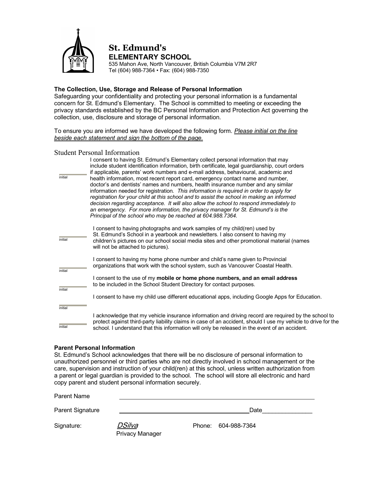

#### **St. Edmund's ELEMENTARY SCHOOL**

535 Mahon Ave, North Vancouver, British Columbia V7M 2R7 Tel (604) 988-7364 • Fax: (604) 988-7350

#### **The Collection, Use, Storage and Release of Personal Information**

Safeguarding your confidentiality and protecting your personal information is a fundamental concern for St. Edmund's Elementary. The School is committed to meeting or exceeding the privacy standards established by the BC Personal Information and Protection Act governing the collection, use, disclosure and storage of personal information.

To ensure you are informed we have developed the following form. *Please initial on the line beside each statement and sign the bottom of the page.* 

#### Student Personal Information

| initial | I consent to having St. Edmund's Elementary collect personal information that may<br>include student identification information, birth certificate, legal guardianship, court orders<br>if applicable, parents' work numbers and e-mail address, behavioural, academic and<br>health information, most recent report card, emergency contact name and number,<br>doctor's and dentists' names and numbers, health insurance number and any similar<br>information needed for registration. This information is required in order to apply for<br>registration for your child at this school and to assist the school in making an informed<br>decision regarding acceptance. It will also allow the school to respond immediately to<br>an emergency. For more information, the privacy manager for St. Edmund's is the<br>Principal of the school who may be reached at 604.988.7364. |
|---------|----------------------------------------------------------------------------------------------------------------------------------------------------------------------------------------------------------------------------------------------------------------------------------------------------------------------------------------------------------------------------------------------------------------------------------------------------------------------------------------------------------------------------------------------------------------------------------------------------------------------------------------------------------------------------------------------------------------------------------------------------------------------------------------------------------------------------------------------------------------------------------------|
| initial | I consent to having photographs and work samples of my child(ren) used by<br>St. Edmund's School in a yearbook and newsletters. I also consent to having my<br>children's pictures on our school social media sites and other promotional material (names<br>will not be attached to pictures).                                                                                                                                                                                                                                                                                                                                                                                                                                                                                                                                                                                        |
| initial | I consent to having my home phone number and child's name given to Provincial<br>organizations that work with the school system, such as Vancouver Coastal Health.                                                                                                                                                                                                                                                                                                                                                                                                                                                                                                                                                                                                                                                                                                                     |
| initial | I consent to the use of my mobile or home phone numbers, and an email address<br>to be included in the School Student Directory for contact purposes.                                                                                                                                                                                                                                                                                                                                                                                                                                                                                                                                                                                                                                                                                                                                  |
|         | I consent to have my child use different educational apps, including Google Apps for Education.                                                                                                                                                                                                                                                                                                                                                                                                                                                                                                                                                                                                                                                                                                                                                                                        |
| initial |                                                                                                                                                                                                                                                                                                                                                                                                                                                                                                                                                                                                                                                                                                                                                                                                                                                                                        |
| initial | I acknowledge that my vehicle insurance information and driving record are required by the school to<br>protect against third-party liability claims in case of an accident, should I use my vehicle to drive for the<br>school. I understand that this information will only be released in the event of an accident.                                                                                                                                                                                                                                                                                                                                                                                                                                                                                                                                                                 |

#### **Parent Personal Information**

St. Edmund's School acknowledges that there will be no disclosure of personal information to unauthorized personnel or third parties who are not directly involved in school management or the care, supervision and instruction of your child(ren) at this school, unless written authorization from a parent or legal guardian is provided to the school. The school will store all electronic and hard copy parent and student personal information securely.

| Parent Name      |                                  |                     |  |
|------------------|----------------------------------|---------------------|--|
| Parent Signature |                                  | Date                |  |
| Signature:       | DSilva<br><b>Privacy Manager</b> | Phone: 604-988-7364 |  |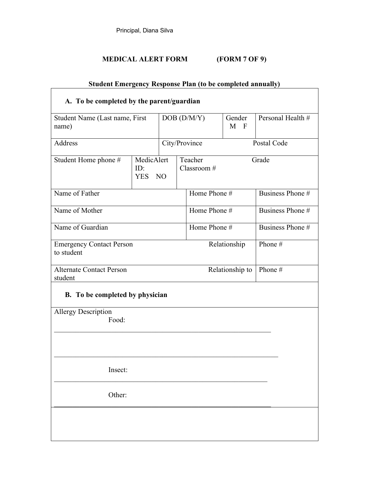#### **MEDICAL ALERT FORM (FORM 7 OF 9)**

| <b>Student Emergency Response Plan (to be completed annually)</b> |                                       |             |  |                                   |                   |                  |
|-------------------------------------------------------------------|---------------------------------------|-------------|--|-----------------------------------|-------------------|------------------|
| A. To be completed by the parent/guardian                         |                                       |             |  |                                   |                   |                  |
| Student Name (Last name, First<br>name)                           |                                       | DOB (D/M/Y) |  | Gender<br>$M$ F                   | Personal Health # |                  |
| Address                                                           |                                       |             |  | City/Province                     | Postal Code       |                  |
| Student Home phone #                                              | MedicAlert<br>ID:<br><b>YES</b><br>NO |             |  | Teacher<br>Grade<br>Classroom $#$ |                   |                  |
| Name of Father                                                    |                                       |             |  | Home Phone #                      |                   | Business Phone # |
| Name of Mother                                                    |                                       |             |  | Home Phone #                      |                   | Business Phone # |
| Name of Guardian                                                  |                                       |             |  | Home Phone #                      |                   | Business Phone # |
| <b>Emergency Contact Person</b><br>to student                     |                                       |             |  | Relationship                      |                   | Phone #          |
| <b>Alternate Contact Person</b><br>student                        |                                       |             |  | Relationship to<br>Phone #        |                   |                  |
| <b>B.</b> To be completed by physician                            |                                       |             |  |                                   |                   |                  |
| Allergy Description<br>Food:                                      |                                       |             |  |                                   |                   |                  |
| Insect:                                                           |                                       |             |  |                                   |                   |                  |
| Other:                                                            |                                       |             |  |                                   |                   |                  |
|                                                                   |                                       |             |  |                                   |                   |                  |
|                                                                   |                                       |             |  |                                   |                   |                  |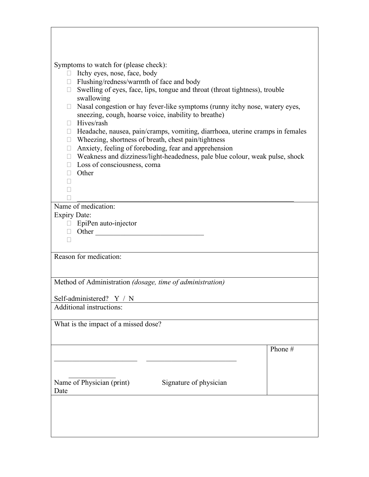| Symptoms to watch for (please check):                                                               |         |  |  |  |  |
|-----------------------------------------------------------------------------------------------------|---------|--|--|--|--|
| □ Itchy eyes, nose, face, body                                                                      |         |  |  |  |  |
| □ Flushing/redness/warmth of face and body                                                          |         |  |  |  |  |
| $\Box$ Swelling of eyes, face, lips, tongue and throat (throat tightness), trouble                  |         |  |  |  |  |
| swallowing<br>Nasal congestion or hay fever-like symptoms (runny itchy nose, watery eyes,<br>$\Box$ |         |  |  |  |  |
| sneezing, cough, hoarse voice, inability to breathe)                                                |         |  |  |  |  |
| Hives/rash<br>П.                                                                                    |         |  |  |  |  |
| □ Headache, nausea, pain/cramps, vomiting, diarrhoea, uterine cramps in females                     |         |  |  |  |  |
| $\Box$ Wheezing, shortness of breath, chest pain/tightness                                          |         |  |  |  |  |
| $\Box$ Anxiety, feeling of foreboding, fear and apprehension                                        |         |  |  |  |  |
| □ Weakness and dizziness/light-headedness, pale blue colour, weak pulse, shock                      |         |  |  |  |  |
| $\Box$ Loss of consciousness, coma                                                                  |         |  |  |  |  |
| $\Box$ Other                                                                                        |         |  |  |  |  |
| $\Box$<br>П                                                                                         |         |  |  |  |  |
|                                                                                                     |         |  |  |  |  |
| Name of medication:                                                                                 |         |  |  |  |  |
| <b>Expiry Date:</b>                                                                                 |         |  |  |  |  |
| □ EpiPen auto-injector                                                                              |         |  |  |  |  |
| D Other 2008                                                                                        |         |  |  |  |  |
| П                                                                                                   |         |  |  |  |  |
| Reason for medication:                                                                              |         |  |  |  |  |
|                                                                                                     |         |  |  |  |  |
|                                                                                                     |         |  |  |  |  |
| Method of Administration (dosage, time of administration)                                           |         |  |  |  |  |
|                                                                                                     |         |  |  |  |  |
| Self-administered? Y / N                                                                            |         |  |  |  |  |
| Additional instructions:                                                                            |         |  |  |  |  |
|                                                                                                     |         |  |  |  |  |
| What is the impact of a missed dose?                                                                |         |  |  |  |  |
|                                                                                                     |         |  |  |  |  |
|                                                                                                     | Phone # |  |  |  |  |
|                                                                                                     |         |  |  |  |  |
|                                                                                                     |         |  |  |  |  |
|                                                                                                     |         |  |  |  |  |
| Name of Physician (print)<br>Signature of physician                                                 |         |  |  |  |  |
| Date                                                                                                |         |  |  |  |  |
|                                                                                                     |         |  |  |  |  |
|                                                                                                     |         |  |  |  |  |
|                                                                                                     |         |  |  |  |  |
|                                                                                                     |         |  |  |  |  |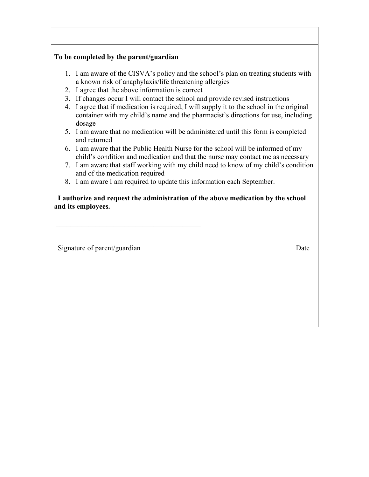#### **To be completed by the parent/guardian**

- 1. I am aware of the CISVA's policy and the school's plan on treating students with a known risk of anaphylaxis/life threatening allergies
- 2. I agree that the above information is correct

 $\mathcal{L}_\mathcal{L}$  , which is a set of the set of the set of the set of the set of the set of the set of the set of the set of the set of the set of the set of the set of the set of the set of the set of the set of the set of

- 3. If changes occur I will contact the school and provide revised instructions
- 4. I agree that if medication is required, I will supply it to the school in the original container with my child's name and the pharmacist's directions for use, including dosage
- 5. I am aware that no medication will be administered until this form is completed and returned
- 6. I am aware that the Public Health Nurse for the school will be informed of my child's condition and medication and that the nurse may contact me as necessary
- 7. I am aware that staff working with my child need to know of my child's condition and of the medication required
- 8. I am aware I am required to update this information each September.

 **I authorize and request the administration of the above medication by the school and its employees.** 

Signature of parent/guardian Date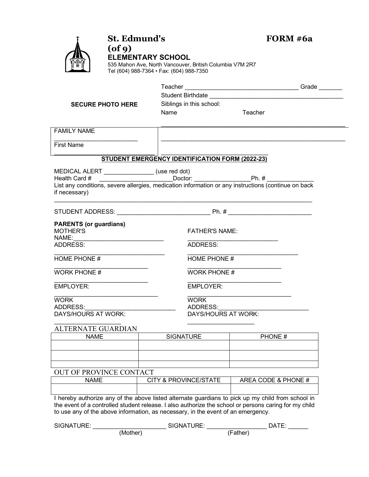| <b>St. Edmund's</b><br>$($ of 9 $)$<br><b>ELEMENTARY SCHOOL</b><br>535 Mahon Ave, North Vancouver, British Columbia V7M 2R7<br>Tel (604) 988-7364 · Fax: (604) 988-7350 |                          |                                                 | FORM #6a              |                                                                                                                                                                                          |  |
|-------------------------------------------------------------------------------------------------------------------------------------------------------------------------|--------------------------|-------------------------------------------------|-----------------------|------------------------------------------------------------------------------------------------------------------------------------------------------------------------------------------|--|
|                                                                                                                                                                         |                          |                                                 |                       |                                                                                                                                                                                          |  |
|                                                                                                                                                                         |                          |                                                 |                       |                                                                                                                                                                                          |  |
|                                                                                                                                                                         | <b>SECURE PHOTO HERE</b> |                                                 |                       |                                                                                                                                                                                          |  |
|                                                                                                                                                                         |                          | Siblings in this school:<br>Name                |                       | Teacher                                                                                                                                                                                  |  |
|                                                                                                                                                                         |                          |                                                 |                       |                                                                                                                                                                                          |  |
| <b>FAMILY NAME</b>                                                                                                                                                      |                          |                                                 |                       |                                                                                                                                                                                          |  |
|                                                                                                                                                                         |                          |                                                 |                       |                                                                                                                                                                                          |  |
| <b>First Name</b>                                                                                                                                                       |                          |                                                 |                       |                                                                                                                                                                                          |  |
|                                                                                                                                                                         |                          | STUDENT EMERGENCY IDENTIFICATION FORM (2022-23) |                       |                                                                                                                                                                                          |  |
| MEDICAL ALERT ________________(use red dot)                                                                                                                             |                          |                                                 |                       |                                                                                                                                                                                          |  |
|                                                                                                                                                                         |                          |                                                 |                       | Health Card # ___________________________Doctor: ________________________________<br>List any conditions, severe allergies, medication information or any instructions (continue on back |  |
|                                                                                                                                                                         |                          |                                                 |                       |                                                                                                                                                                                          |  |
| if necessary)                                                                                                                                                           |                          |                                                 |                       |                                                                                                                                                                                          |  |
|                                                                                                                                                                         |                          |                                                 |                       |                                                                                                                                                                                          |  |
|                                                                                                                                                                         |                          |                                                 |                       |                                                                                                                                                                                          |  |
| <b>PARENTS (or guardians)</b><br><b>MOTHER'S</b>                                                                                                                        |                          |                                                 | <b>FATHER'S NAME:</b> |                                                                                                                                                                                          |  |
| NAME:                                                                                                                                                                   |                          |                                                 |                       |                                                                                                                                                                                          |  |
| ADDRESS:                                                                                                                                                                |                          |                                                 | ADDRESS:              |                                                                                                                                                                                          |  |
|                                                                                                                                                                         |                          |                                                 | HOME PHONE #          |                                                                                                                                                                                          |  |
| HOME PHONE #                                                                                                                                                            |                          |                                                 |                       |                                                                                                                                                                                          |  |
| <b>WORK PHONE #</b>                                                                                                                                                     |                          |                                                 | <b>WORK PHONE #</b>   |                                                                                                                                                                                          |  |
| <b>EMPLOYER:</b>                                                                                                                                                        |                          |                                                 | <b>EMPLOYER:</b>      |                                                                                                                                                                                          |  |
| <b>WORK</b>                                                                                                                                                             |                          |                                                 |                       |                                                                                                                                                                                          |  |
| <b>ADDRESS:</b>                                                                                                                                                         |                          | <b>WORK</b><br><b>ADDRESS:</b>                  |                       |                                                                                                                                                                                          |  |
| DAYS/HOURS AT WORK:                                                                                                                                                     |                          |                                                 | DAYS/HOURS AT WORK:   |                                                                                                                                                                                          |  |
|                                                                                                                                                                         |                          |                                                 |                       |                                                                                                                                                                                          |  |
| ALTERNATE GUARDIAN<br><b>NAME</b>                                                                                                                                       |                          | <b>SIGNATURE</b>                                |                       | PHONE#                                                                                                                                                                                   |  |
|                                                                                                                                                                         |                          |                                                 |                       |                                                                                                                                                                                          |  |
|                                                                                                                                                                         |                          |                                                 |                       |                                                                                                                                                                                          |  |
|                                                                                                                                                                         |                          |                                                 |                       |                                                                                                                                                                                          |  |
| OUT OF PROVINCE CONTACT                                                                                                                                                 |                          |                                                 |                       |                                                                                                                                                                                          |  |
| <b>NAME</b>                                                                                                                                                             |                          | <b>CITY &amp; PROVINCE/STATE</b>                |                       | AREA CODE & PHONE #                                                                                                                                                                      |  |
|                                                                                                                                                                         |                          |                                                 |                       |                                                                                                                                                                                          |  |
|                                                                                                                                                                         |                          |                                                 |                       | I hereby outberize any of the above lieted elternete quardiane to piek up my obild from echool in                                                                                        |  |

I hereby authorize any of the above listed alternate guardians to pick up my child from school in the event of a controlled student release. I also authorize the school or persons caring for my child to use any of the above information, as necessary, in the event of an emergency.

| SIGNATURE: |          | SIGNATURE: |          | DATE: |
|------------|----------|------------|----------|-------|
|            | (Mother) |            | 'Father) |       |